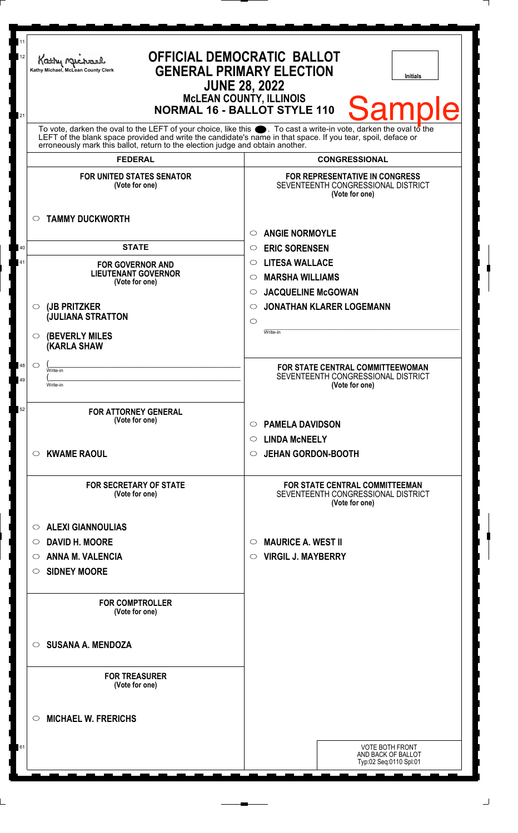| 11<br>12 | <b>OFFICIAL DEMOCRATIC BALLOT</b><br>Kathy Muc<br><b>GENERAL PRIMARY ELECTION</b><br>Kathy Michael, McLean County Clerk<br><b>JUNE 28, 2022</b><br><b>McLEAN COUNTY, ILLINOIS</b>              | Initials                                                                                      |
|----------|------------------------------------------------------------------------------------------------------------------------------------------------------------------------------------------------|-----------------------------------------------------------------------------------------------|
| 21       | To vote, darken the oval to the LEFT of your choice, like this $\bullet$ . To cast a write-in vote, darken the oval to the                                                                     | <b>Sample</b><br><b>NORMAL 16 - BALLOT STYLE 110</b>                                          |
|          | LEFT of the blank space provided and write the candidate's name in that space. If you tear, spoil, deface or<br>erroneously mark this ballot, return to the election judge and obtain another. |                                                                                               |
|          | <b>FEDERAL</b>                                                                                                                                                                                 | <b>CONGRESSIONAL</b>                                                                          |
|          | <b>FOR UNITED STATES SENATOR</b><br>(Vote for one)                                                                                                                                             | <b>FOR REPRESENTATIVE IN CONGRESS</b><br>SEVENTEENTH CONGRESSIONAL DISTRICT<br>(Vote for one) |
|          | <b>TAMMY DUCKWORTH</b><br>$\circ$                                                                                                                                                              | <b>ANGIE NORMOYLE</b><br>$\bigcirc$                                                           |
| 40       | <b>STATE</b>                                                                                                                                                                                   | <b>ERIC SORENSEN</b><br>$\circ$                                                               |
| 41       | <b>FOR GOVERNOR AND</b>                                                                                                                                                                        | <b>LITESA WALLACE</b><br>$\circ$                                                              |
|          | <b>LIEUTENANT GOVERNOR</b><br>(Vote for one)                                                                                                                                                   | <b>MARSHA WILLIAMS</b><br>◯                                                                   |
|          |                                                                                                                                                                                                | <b>JACQUELINE McGOWAN</b><br>$\circ$                                                          |
|          | (JB PRITZKER<br>$\circ$                                                                                                                                                                        | <b>JONATHAN KLARER LOGEMANN</b><br>◯                                                          |
|          | <b>JULIANA STRATTON</b>                                                                                                                                                                        | $\circ$                                                                                       |
|          | <b>(BEVERLY MILES</b><br>$\circ$<br><b>(KARLA SHAW</b>                                                                                                                                         | Write-in                                                                                      |
| 48       | $\circ$<br>Write-in                                                                                                                                                                            | FOR STATE CENTRAL COMMITTEEWOMAN                                                              |
| 49       | Write-in                                                                                                                                                                                       | SEVENTEENTH CONGRESSIONAL DISTRICT<br>(Vote for one)                                          |
| 52       | <b>FOR ATTORNEY GENERAL</b>                                                                                                                                                                    |                                                                                               |
|          | (Vote for one)                                                                                                                                                                                 | <b>PAMELA DAVIDSON</b><br>$\circ$                                                             |
|          |                                                                                                                                                                                                | <b>LINDA MCNEELY</b><br>$\circ$                                                               |
|          | <b>KWAME RAOUL</b><br>$\circ$                                                                                                                                                                  | <b>JEHAN GORDON-BOOTH</b><br>$\circ$                                                          |
|          | <b>FOR SECRETARY OF STATE</b><br>(Vote for one)                                                                                                                                                | <b>FOR STATE CENTRAL COMMITTEEMAN</b><br>SEVENTEENTH CONGRESSIONAL DISTRICT<br>(Vote for one) |
|          | <b>ALEXI GIANNOULIAS</b><br>$\circ$                                                                                                                                                            |                                                                                               |
|          | <b>DAVID H. MOORE</b><br>$\circ$                                                                                                                                                               | <b>MAURICE A. WEST II</b><br>$\circ$                                                          |
|          | <b>ANNA M. VALENCIA</b><br>$\circ$                                                                                                                                                             | <b>VIRGIL J. MAYBERRY</b><br>$\circ$                                                          |
|          | <b>SIDNEY MOORE</b><br>O                                                                                                                                                                       |                                                                                               |
|          |                                                                                                                                                                                                |                                                                                               |
|          | <b>FOR COMPTROLLER</b><br>(Vote for one)                                                                                                                                                       |                                                                                               |
|          | <b>SUSANA A. MENDOZA</b><br>$\circ$                                                                                                                                                            |                                                                                               |
|          | <b>FOR TREASURER</b><br>(Vote for one)                                                                                                                                                         |                                                                                               |
|          | <b>MICHAEL W. FRERICHS</b><br>$\circ$                                                                                                                                                          |                                                                                               |
| 61       |                                                                                                                                                                                                | <b>VOTE BOTH FRONT</b><br>AND BACK OF BALLOT<br>Typ:02 Seq:0110 Spl:01                        |